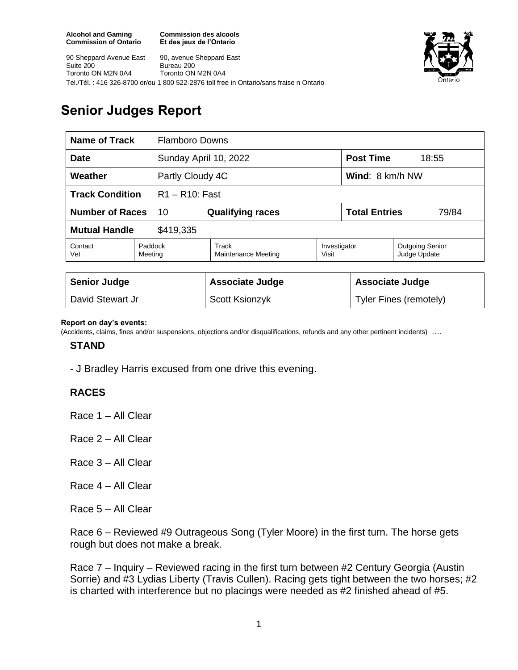**Commission des alcools Et des jeux de l'Ontario**



90 Sheppard Avenue East Suite 200 Toronto ON M2N 0A4 90, avenue Sheppard East Bureau 200 Toronto ON M2N 0A4 Tel./Tél. : 416 326-8700 or/ou 1 800 522-2876 toll free in Ontario/sans fraise n Ontario

# **Senior Judges Report**

| Name of Track<br><b>Flamboro Downs</b>      |                    |                              |                       |                               |                                        |
|---------------------------------------------|--------------------|------------------------------|-----------------------|-------------------------------|----------------------------------------|
| <b>Date</b>                                 |                    | Sunday April 10, 2022        |                       | <b>Post Time</b><br>18:55     |                                        |
| Weather<br>Partly Cloudy 4C                 |                    |                              |                       | Wind: 8 km/h NW               |                                        |
| <b>Track Condition</b><br>$R1 - R10$ : Fast |                    |                              |                       |                               |                                        |
| <b>Number of Races</b><br>10                |                    | <b>Qualifying races</b>      |                       | <b>Total Entries</b><br>79/84 |                                        |
| <b>Mutual Handle</b><br>\$419,335           |                    |                              |                       |                               |                                        |
| Contact<br>Vet                              | Paddock<br>Meeting | Track<br>Maintenance Meeting | Investigator<br>Visit |                               | <b>Outgoing Senior</b><br>Judge Update |
|                                             |                    |                              |                       |                               |                                        |
| <b>Senior Judge</b>                         |                    | <b>Associate Judge</b>       |                       | <b>Associate Judge</b>        |                                        |
| David Stewart Jr                            |                    | Scott Ksionzyk               |                       | Tyler Fines (remotely)        |                                        |

#### **Report on day's events:**

(Accidents, claims, fines and/or suspensions, objections and/or disqualifications, refunds and any other pertinent incidents) ….

#### **STAND**

- J Bradley Harris excused from one drive this evening.

### **RACES**

Race 1 – All Clear

Race 2 – All Clear

- Race 3 All Clear
- Race 4 All Clear
- Race 5 All Clear

Race 6 – Reviewed #9 Outrageous Song (Tyler Moore) in the first turn. The horse gets rough but does not make a break.

Race 7 – Inquiry – Reviewed racing in the first turn between #2 Century Georgia (Austin Sorrie) and #3 Lydias Liberty (Travis Cullen). Racing gets tight between the two horses; #2 is charted with interference but no placings were needed as #2 finished ahead of #5.